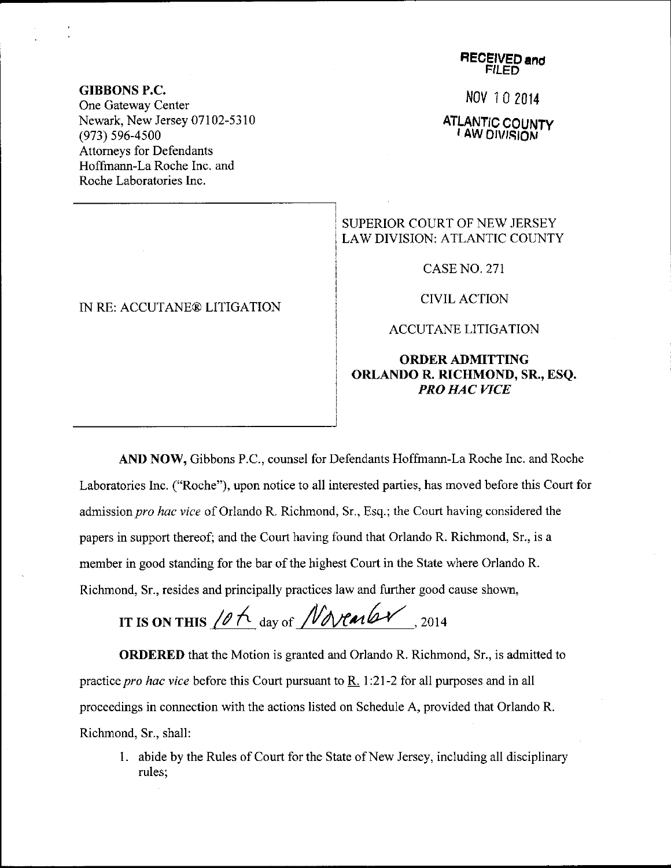## Nov 10 2014

ATLANTIC COUNTY

SUPERIOR COURT OF NEW JERSEY LAW DIVISION: ATLANTIC COUNTY

CASENO,271

CIVIL ACTION

ACCUTANE LITIGATION

## ORDERADMITTING ORLANDO R. RICHMOND, SR., ESQ. PRO HAC VICE

AND NOW, Gibbons P.C., counsel for Defendants Hoffmann-La Roche Inc. and Roche Laboratories Inc. ("Roche"), upon notice to all interested parties, has moved before this Court for admission pro hac vice of Orlando R. Richmond, Sr., Esq.; the Court having considered the papers in support thereof; and the Court having found that Orlando R. Richmond, Sr., is a member in good standing for the bar of the highest Court in the State where Orlando R. Richmond, Sr., resides and principally practices law and further good cause shown,

IT IS ON THIS  $10h$  day of *Novembr*, 2014

ORDERED that the Motion is granted and Orlando R. Richmond, Sr., is admitted to practice *pro hac vice* before this Court pursuant to  $R$ . 1:21-2 for all purposes and in all proceedings in connection with the actions listed on Schedule A, provided that Orlando R. Richmond, Sr., shall:

1. abide by the Rules of Court for the State of New Jersey, including all disciplinary rules;

## GIBBONS P.C.

One Gateway Center Newark, New Jersey 07102-5310 (973) 596-4500 Attorneys for Defendants Hoffmann-La Roche Inc. and Roche Laboratories Inc.

## IN RE: ACCUTANE@ LITIGATION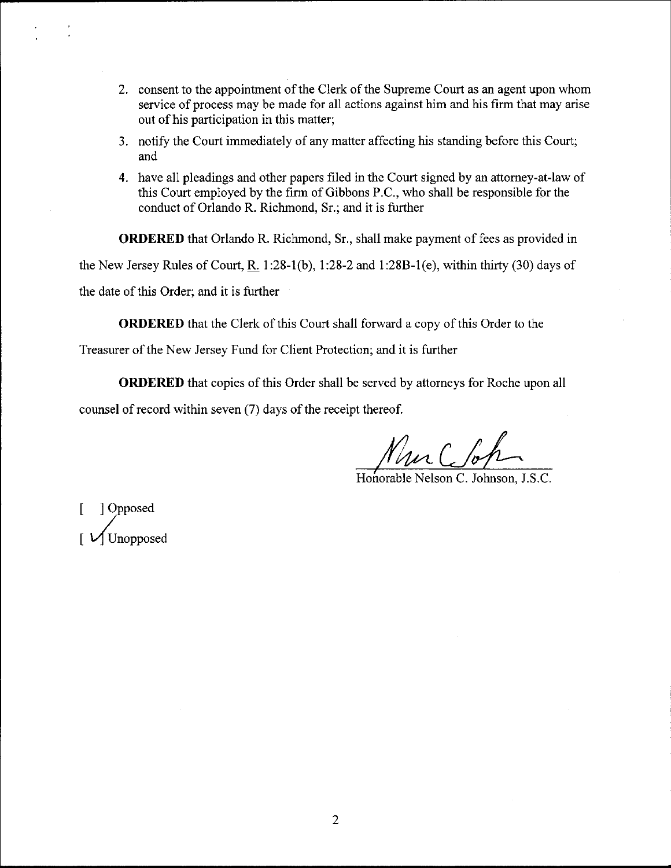- 2. consent to the appointment of the Clerk of the Supreme Court as an agent upon whom service of process may be made for all actions against him and his firm that may arise out of his participation in this matter;
- 3. notify the Court immediately of any matter affecting his standing before this Court; and
- 4. have all pleadings and other papers filed in the Court signed by an attorney-at-law of this Court employed by the firm of Gibbons P.C., who shall be responsible for the conduct of Orlando R. Richmond, Sr.; and it is further

ORDERED that Orlando R. Richmond, Sr., shall make payment of fees as provided in the New Jersey Rules of Court,  $R_1$  1:28-1(b), 1:28-2 and 1:28B-1(e), within thirty (30) days of the date of this Order; and it is further

ORDERED that the Clerk of this Court shall forward a copy of this Order to the

Treasurer of the New Jersey Fund for Client Protection; and it is further

ORDERED that copies of this Order shall be served by attorneys for Roche upon all counsel of record within seven  $(7)$  days of the receipt thereof.

Nur C foh

Honorable Nelson C. Johnson, J.S.C.

[ ]Opposed  $\big[$   $\bigvee$  Unopposed